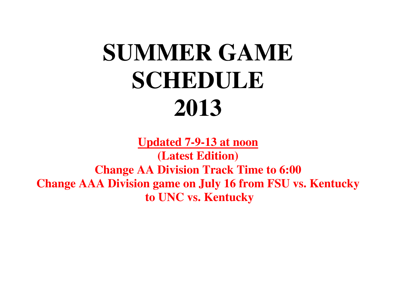## **SUMMER GAMESCHEDULE2013**

**Updated 7-9-13 at noon(Latest Edition) Change AA Division Track Time to 6:00 Change AAA Division game on July 16 from FSU vs. Kentucky to UNC vs. Kentucky**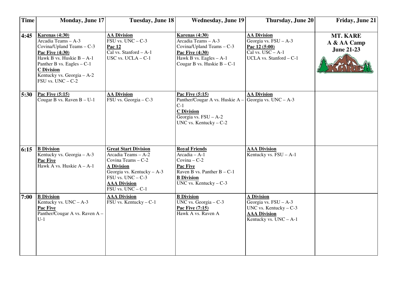| <b>Time</b> | <b>Monday, June 17</b>                                                                                                                                                                                                           | <b>Tuesday, June 18</b>                                                                                                                                                                          | <b>Wednesday, June 19</b>                                                                                                                                         | Thursday, June 20                                                                                                          | Friday, June 21                                     |
|-------------|----------------------------------------------------------------------------------------------------------------------------------------------------------------------------------------------------------------------------------|--------------------------------------------------------------------------------------------------------------------------------------------------------------------------------------------------|-------------------------------------------------------------------------------------------------------------------------------------------------------------------|----------------------------------------------------------------------------------------------------------------------------|-----------------------------------------------------|
| 4:45        | Karenas (4:30)<br>Arcadia Teams - A-3<br>Covina/Upland Teams - C-3<br>Pac Five (4:30)<br>Hawk B vs. Huskie $B - A-1$<br>Panther B vs. Eagles $- C-1$<br><b>C</b> Division<br>Kentucky vs. Georgia - A-2<br>$FSU$ vs. $UNC - C-2$ | <b>AA Division</b><br>FSU vs. $UNC - C-3$<br>Pac 12<br>Cal vs. Stanford - A-1<br>USC vs. UCLA - C-1                                                                                              | <b>Karenas (4:30)</b><br>Arcadia Teams - A-3<br>Covina/Upland Teams - C-3<br><b>Pac Five (4:30)</b><br>Hawk B vs. Eagles $- A-1$<br>Cougar B vs. Huskie $B - C-1$ | <b>AA Division</b><br>Georgia vs. FSU - A-3<br>Pac 12 (5:00)<br>Cal vs. $USC - A-1$<br>UCLA vs. Stanford - C-1             | <b>MT. KARE</b><br>A & AA Camp<br><b>June 21-23</b> |
| 5:30        | <b>Pac Five (5:15)</b><br>Cougar B vs. Raven $B - U-1$                                                                                                                                                                           | <b>AA Division</b><br>FSU vs. Georgia - C-3                                                                                                                                                      | Pac Five (5:15)<br>Panther/Cougar A vs. Huskie A -<br>$C-1$<br><b>C</b> Division<br>Georgia vs. $FSU - A-2$<br>UNC vs. Kentucky $-C-2$                            | <b>AA Division</b><br>Georgia vs. $UNC - A-3$                                                                              |                                                     |
| 6:15        | <b>B</b> Division<br>Kentucky vs. Georgia - A-3<br>Pac Five<br>Hawk A vs. Huskie $A - A-1$                                                                                                                                       | <b>Great Start Division</b><br>Arcadia Teams - A-2<br>Covina Teams - C-2<br><b>A Division</b><br>Georgia vs. Kentucky - A-3<br>FSU vs. $UNC - C-3$<br><b>AAA Division</b><br>FSU vs. $UNC - C-1$ | <b>Royal Friends</b><br>Arcadia - A-1<br>$Covina - C-2$<br>Pac Five<br>Raven B vs. Panther $B - C-1$<br><b>B</b> Division<br>UNC vs. Kentucky $-C-3$              | <b>AAA Division</b><br>Kentucky vs. $FSU - A-1$                                                                            |                                                     |
| 7:00        | <b>B</b> Division<br>Kentucky vs. $UNC - A-3$<br>Pac Five<br>Panther/Cougar A vs. Raven A -<br>$U-1$                                                                                                                             | <b>AAA Division</b><br>FSU vs. Kentucky - C-1                                                                                                                                                    | <b>B_Division</b><br>UNC vs. Georgia $-$ C-3<br>Pac Five (7:15)<br>Hawk A vs. Raven A                                                                             | <b>A Division</b><br>Georgia vs. $FSU - A-3$<br>UNC vs. Kentucky $-C-3$<br><b>AAA Division</b><br>Kentucky vs. $UNC - A-1$ |                                                     |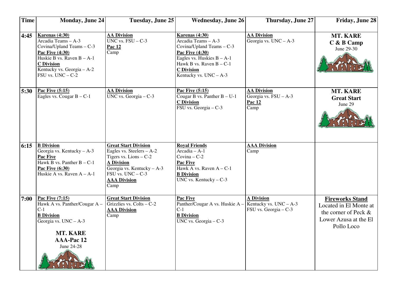| <b>Time</b> | <b>Monday, June 24</b>                                                                                                                                                                                   | Tuesday, June 25                                                                                                                                                                               | <b>Wednesday, June 26</b>                                                                                                                                                                                   | Thursday, June 27                                                      | Friday, June 28                                                                                                 |
|-------------|----------------------------------------------------------------------------------------------------------------------------------------------------------------------------------------------------------|------------------------------------------------------------------------------------------------------------------------------------------------------------------------------------------------|-------------------------------------------------------------------------------------------------------------------------------------------------------------------------------------------------------------|------------------------------------------------------------------------|-----------------------------------------------------------------------------------------------------------------|
| 4:45        | <b>Karenas (4:30)</b><br>Arcadia Teams - A-3<br>Covina/Upland Teams - C-3<br>Pac Five (4:30)<br>Huskie B vs. Raven $B - A-1$<br><b>C</b> Division<br>Kentucky vs. Georgia - A-2<br>$FSU$ vs. $UNC - C-2$ | <b>AA Division</b><br>UNC vs. $FSU - C-3$<br>Pac 12<br>Camp                                                                                                                                    | <b>Karenas (4:30)</b><br>Arcadia Teams - A-3<br>Covina/Upland Teams - C-3<br>Pac Five (4:30)<br>Eagles vs. Huskies $B - A-1$<br>Hawk B vs. Raven $B - C-1$<br><b>C</b> Division<br>Kentucky vs. $UNC - A-3$ | <b>AA Division</b><br>Georgia vs. $UNC - A-3$                          | <b>MT. KARE</b><br>$C$ & B Camp<br>June 29-30                                                                   |
| 5:30        | <b>Pac Five (5:15)</b><br>Eagles vs. Cougar $B - C-1$                                                                                                                                                    | <b>AA Division</b><br>UNC vs. Georgia - C-3                                                                                                                                                    | <b>Pac Five (5:15)</b><br>Cougar B vs. Panther $B - U-1$<br><b>C</b> Division<br>$\overline{\text{FSU vs. Georgia}} - C-3$                                                                                  | <b>AA Division</b><br>Georgia vs. FSU - A-3<br>Pac 12<br>Camp          | <b>MT. KARE</b><br><b>Great Start</b><br>June 29                                                                |
| 6:15        | <b>B</b> Division<br>Georgia vs. Kentucky - A-3<br><b>Pac Five</b><br>Hawk $\overline{B}$ vs. Panther $B - C-1$<br>Pac Five (6:30)<br>Huskie A vs. Raven $A - A-1$                                       | <b>Great Start Division</b><br>Eagles vs. Steelers - A-2<br>Tigers vs. Lions $-C-2$<br><b>A Division</b><br>Georgia vs. Kentucky - A-3<br>$FSU$ vs. $UNC - C-3$<br><b>AAA Division</b><br>Camp | <b>Royal Friends</b><br>Arcadia - A-1<br>Covina $-$ C-2<br>Pac Five<br>Hawk A vs. Raven $A - C-1$<br><b>B</b> Division<br>UNC vs. Kentucky $-C-3$                                                           | <b>AAA Division</b><br>Camp                                            |                                                                                                                 |
| 7:00        | Pac Five (7:15)<br>Hawk A vs. Panther/Cougar A -<br>$C-1$<br><b>B</b> Division<br>Georgia vs. $UNC - A-3$<br><b>MT. KARE</b><br><b>AAA-Pac 12</b><br>June 24-28                                          | <b>Great Start Division</b><br>Grizzlies vs. Colts $-C-2$<br><b>AAA Division</b><br>Camp                                                                                                       | Pac Five<br>Panther/Cougar A vs. Huskie A -<br>$C-1$<br><b>B</b> Division<br>UNC vs. Georgia $-$ C-3                                                                                                        | <b>A Division</b><br>Kentucky vs. $UNC - A-3$<br>FSU vs. Georgia - C-3 | <b>Fireworks Stand</b><br>Located in El Monte at<br>the corner of Peck &<br>Lower Azusa at the El<br>Pollo Loco |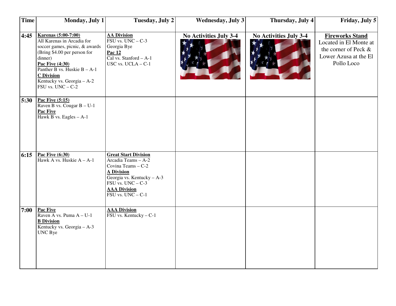| <b>Time</b> | Monday, July 1                                                                                                                                                                                                                                                                | Tuesday, July 2                                                                                                                                                                                                    | <b>Wednesday, July 3</b>      | Thursday, July 4              | Friday, July 5                                                                                                  |
|-------------|-------------------------------------------------------------------------------------------------------------------------------------------------------------------------------------------------------------------------------------------------------------------------------|--------------------------------------------------------------------------------------------------------------------------------------------------------------------------------------------------------------------|-------------------------------|-------------------------------|-----------------------------------------------------------------------------------------------------------------|
| 4:45        | <b>Karenas (5:00-7:00)</b><br>All Karenas in Arcadia for<br>soccer games, picnic, & awards<br>(Bring \$4.00 per person for<br>dinner)<br><b>Pac Five (4:30)</b><br>Panther B vs. Huskie $B - A-1$<br><b>C</b> Division<br>Kentucky vs. Georgia - A-2<br>$FSU$ vs. $UNC - C-2$ | <b>AA Division</b><br>$\overline{\text{FSU vs. UNC}} - C-3$<br>Georgia Bye<br>Pac 12<br>Cal vs. Stanford $- A-1$<br>USC vs. $UCLA - C-1$                                                                           | <b>No Activities July 3-4</b> | <b>No Activities July 3-4</b> | <b>Fireworks Stand</b><br>Located in El Monte at<br>the corner of Peck &<br>Lower Azusa at the El<br>Pollo Loco |
| 5:30        | Pac Five (5:15)<br>Raven B vs. Cougar $B - U-1$<br>Pac Five<br>Hawk B vs. Eagles $- A-1$                                                                                                                                                                                      |                                                                                                                                                                                                                    |                               |                               |                                                                                                                 |
| 6:15        | Pac Five $(6:30)$<br>Hawk A vs. Huskie $A - A-1$                                                                                                                                                                                                                              | <b>Great Start Division</b><br>Arcadia Teams - A-2<br>Covina Teams - C-2<br><b>A Division</b><br>Georgia vs. Kentucky - A-3<br>FSU vs. $UNC - C-3$<br><b>AAA Division</b><br>$\overline{\text{FSU vs. UNC}} - C-1$ |                               |                               |                                                                                                                 |
| 7:00        | Pac Five<br>Raven A vs. Puma $A - U-1$<br><b>B</b> Division<br>Kentucky vs. Georgia - A-3<br>UNC Bye                                                                                                                                                                          | <b>AAA Division</b><br>$\overline{\text{FSU} \text{ vs. Kentucky}} - C-1$                                                                                                                                          |                               |                               |                                                                                                                 |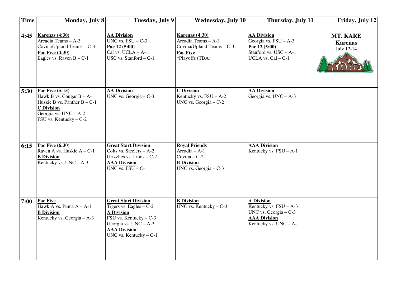| <b>Time</b> | <b>Monday, July 8</b>                                                                                                                                      | Tuesday, July 9                                                                                                                                                                                                 | <b>Wednesday, July 10</b>                                                                                 | Thursday, July 11                                                                                                          | Friday, July 12                                 |
|-------------|------------------------------------------------------------------------------------------------------------------------------------------------------------|-----------------------------------------------------------------------------------------------------------------------------------------------------------------------------------------------------------------|-----------------------------------------------------------------------------------------------------------|----------------------------------------------------------------------------------------------------------------------------|-------------------------------------------------|
| 4:45        | <b>Karenas (4:30)</b><br>Arcadia Teams - A-3<br>Covina/Upland Teams - C-3<br>Pac Five (4:30)<br>Eagles vs. Raven $B - C-1$                                 | <b>AA Division</b><br>UNC vs. $FSU - C-3$<br>Pac 12 (5:00)<br>Cal vs. $UCLA - A-1$<br>USC vs. Stanford - C-1                                                                                                    | <b>Karenas (4:30)</b><br>Arcadia Teams - A-3<br>Covina/Upland Teams - C-3<br>Pac Five<br>*Playoffs (TBA)  | <b>AA Division</b><br>Georgia vs. $FSU - A-3$<br>Pac 12 (5:00)<br>Stanford vs. $USC - A-1$<br>UCLA vs. Cal - C-1           | <b>MT. KARE</b><br><b>Karenas</b><br>July 12-14 |
| 5:30        | Pac Five (5:15)<br>Hawk B vs. Cougar $B - A-1$<br>Huskie B vs. Panther $B - C-1$<br><b>C</b> Division<br>Georgia vs. $UNC - A-2$<br>FSU vs. Kentucky - C-2 | <b>AA Division</b><br>UNC vs. Georgia $-$ C-3                                                                                                                                                                   | <b>C</b> Division<br>Kentucky vs. $FSU - A-2$<br>UNC vs. Georgia - C-2                                    | <b>AA Division</b><br>Georgia vs. $UNC - A-3$                                                                              |                                                 |
| 6:15        | Pac Five (6:30)<br>Raven A vs. Huskie A - C-1<br><b>B</b> Division<br>Kentucky vs. $UNC - A-3$                                                             | <b>Great Start Division</b><br>Colts vs. Steelers - A-2<br>Grizzlies vs. Lions - C-2<br><b>AAA Division</b><br>UNC vs. $FSU - C-1$                                                                              | <b>Royal Friends</b><br>$Arcadia - A-1$<br>Covina $-$ C-2<br><b>B</b> Division<br>UNC vs. Georgia $-$ C-3 | <b>AAA Division</b><br>Kentucky vs. $FSU - A-1$                                                                            |                                                 |
| 7:00        | Pac Five<br>Hawk A vs. Puma $A - A-1$<br><b>B</b> Division<br>Kentucky vs. Georgia - A-3                                                                   | <b>Great Start Division</b><br>Tigers vs. Eagles $-C-2$<br><b>A Division</b><br>$\overline{\text{FSU} \text{ vs. Kentucky}} - C-3$<br>Georgia vs. $UNC - A-3$<br><b>AAA Division</b><br>UNC vs. Kentucky $-C-1$ | <b>B</b> Division<br>UNC vs. Kentucky $-C-3$                                                              | <b>A Division</b><br>Kentucky vs. $FSU - A-3$<br>UNC vs. Georgia $-C-3$<br><b>AAA Division</b><br>Kentucky vs. $UNC - A-1$ |                                                 |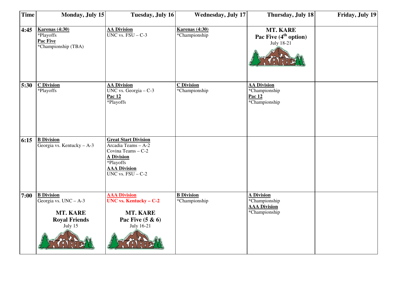| <b>Time</b> | Monday, July 15                                                                           | Tuesday, July 16                                                                                                                                                                 | <b>Wednesday, July 17</b>              | Thursday, July 18                                                          | Friday, July 19 |
|-------------|-------------------------------------------------------------------------------------------|----------------------------------------------------------------------------------------------------------------------------------------------------------------------------------|----------------------------------------|----------------------------------------------------------------------------|-----------------|
| 4:45        | <b>Karenas (4:30)</b><br>*Playoffs<br>Pac Five<br>*Championship (TBA)                     | <b>AA Division</b><br>$\overline{UNC \text{ vs. } FSU - C-3}$                                                                                                                    | <b>Karenas (4:30)</b><br>*Championship | MT. KARE<br>Pac Five $(4th$ option)<br>July 18-21                          |                 |
| 5:30        | <b>C</b> Division<br>*Playoffs                                                            | <b>AA Division</b><br>UNC vs. Georgia $-$ C-3<br>Pac 12<br>*Playoffs                                                                                                             | <b>C</b> Division<br>*Championship     | <b>AA Division</b><br>*Championship<br>Pac 12<br>*Championship             |                 |
| 6:15        | <b>B</b> Division<br>Georgia vs. Kentucky $- A - 3$                                       | <b>Great Start Division</b><br>Arcadia Teams - A-2<br>Covina Teams - C-2<br><b>A Division</b><br>*Playoffs<br><b>AAA Division</b><br>$\overline{UNC}$ vs. $\overline{FSU}$ – C-2 |                                        |                                                                            |                 |
| 7:00        | <b>B</b> Division<br>Georgia vs. UNC - A-3<br>MT. KARE<br><b>Royal Friends</b><br>July 15 | <b>AAA Division</b><br><b>UNC</b> vs. Kentucky - C-2<br><b>MT. KARE</b><br>Pac Five $(5 \& 6)$<br>July 16-21                                                                     | <b>B</b> Division<br>*Championship     | <b>A Division</b><br>*Championship<br><b>AAA Division</b><br>*Championship |                 |